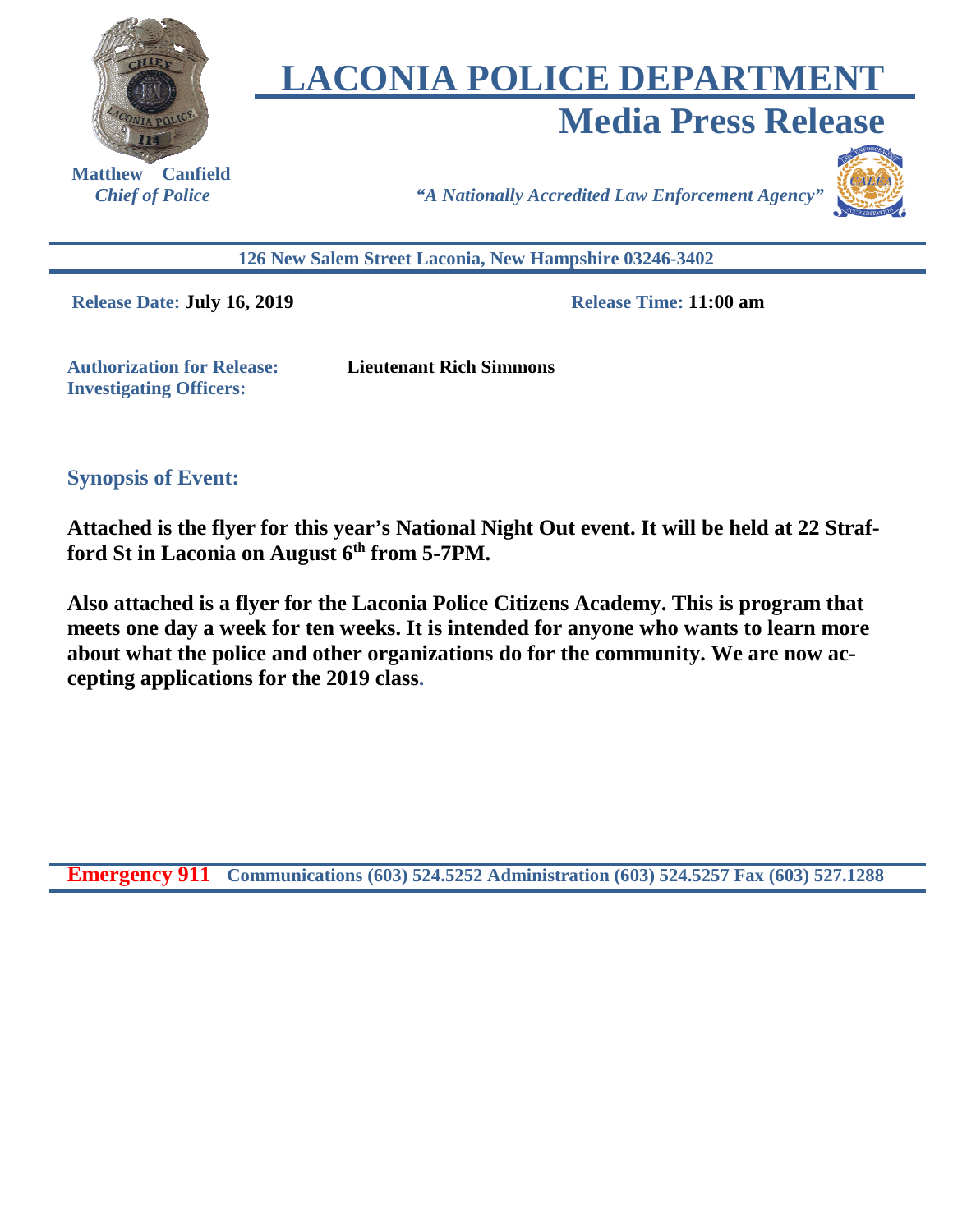

# **LACONIA POLICE DEPARTMENT Media Press Release**

 **Matthew Canfield** 

*Chief of Police "A Nationally Accredited Law Enforcement Agency"*



**126 New Salem Street Laconia, New Hampshire 03246-3402** 

**Release Date: July 16, 2019 Release Time: 11:00 am** 

**Authorization for Release: Lieutenant Rich Simmons Investigating Officers:** 

**Synopsis of Event:** 

**Attached is the flyer for this year's National Night Out event. It will be held at 22 Strafford St in Laconia on August 6th from 5-7PM.** 

**Also attached is a flyer for the Laconia Police Citizens Academy. This is program that meets one day a week for ten weeks. It is intended for anyone who wants to learn more about what the police and other organizations do for the community. We are now accepting applications for the 2019 class.**

**Emergency 911 Communications (603) 524.5252 Administration (603) 524.5257 Fax (603) 527.1288**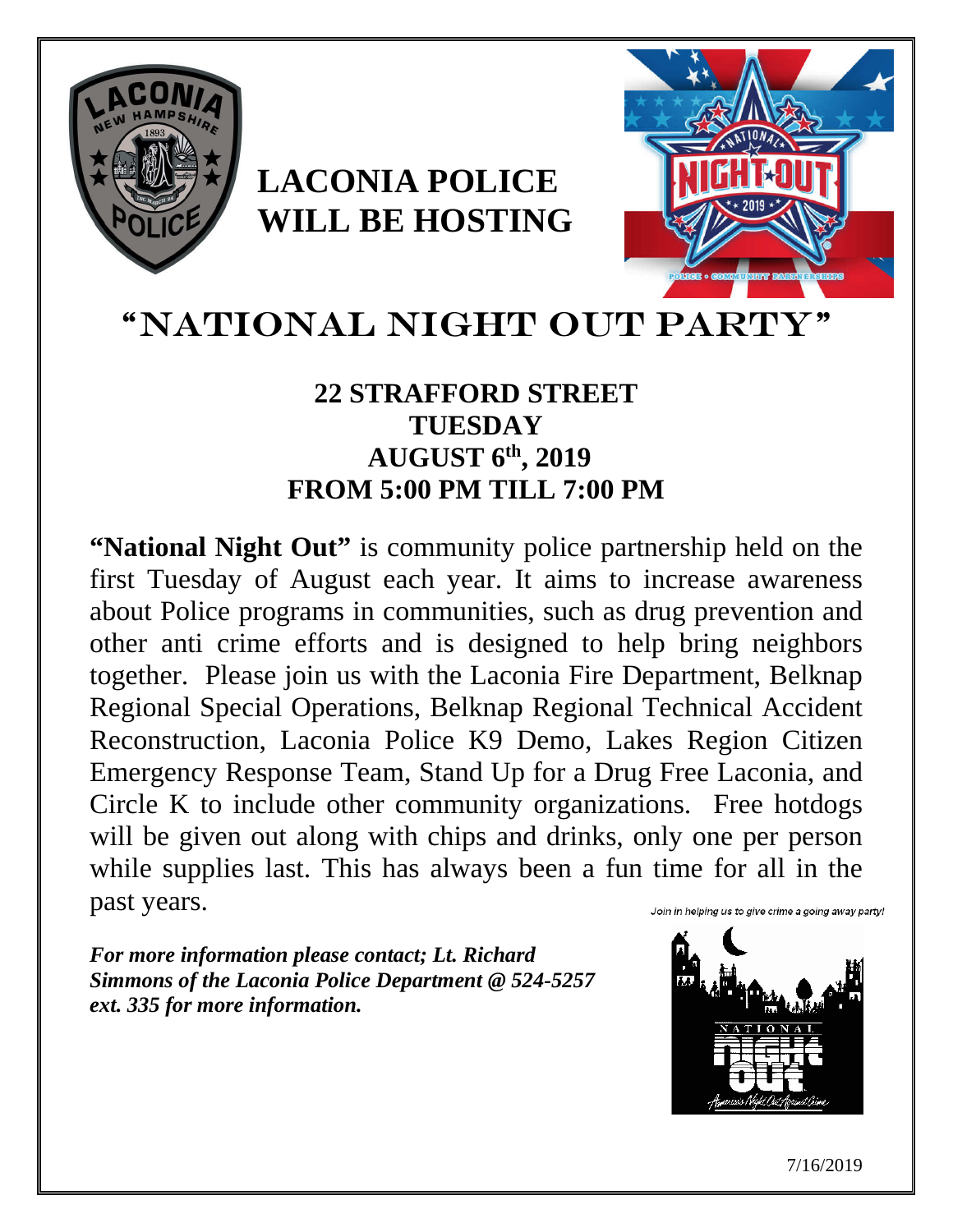

# **LACONIA POLICE WILL BE HOSTING**



## "NATIONAL NIGHT OUT PARTY

## **22 STRAFFORD STREET TUESDAY AUGUST 6th, 2019 FROM 5:00 PM TILL 7:00 PM**

**"National Night Out"** is community police partnership held on the first Tuesday of August each year. It aims to increase awareness about Police programs in communities, such as drug prevention and other anti crime efforts and is designed to help bring neighbors together. Please join us with the Laconia Fire Department, Belknap Regional Special Operations, Belknap Regional Technical Accident Reconstruction, Laconia Police K9 Demo, Lakes Region Citizen Emergency Response Team, Stand Up for a Drug Free Laconia, and Circle K to include other community organizations. Free hotdogs will be given out along with chips and drinks, only one per person while supplies last. This has always been a fun time for all in the past years. Join in helping us to give crime a going away party!

*For more information please contact; Lt. Richard Simmons of the Laconia Police Department @ 524-5257 ext. 335 for more information.* 



7/16/2019